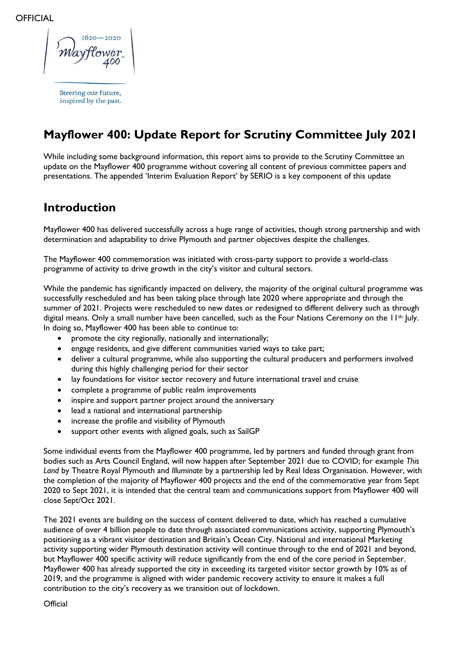$-2020$ 

Steering our future, inspired by the past.

# **Mayflower 400: Update Report for Scrutiny Committee July 2021**

While including some background information, this report aims to provide to the Scrutiny Committee an update on the Mayflower 400 programme without covering all content of previous committee papers and presentations. The appended 'Interim Evaluation Report' by SERIO is a key component of this update

### **Introduction**

Mayflower 400 has delivered successfully across a huge range of activities, though strong partnership and with determination and adaptability to drive Plymouth and partner objectives despite the challenges.

The Mayflower 400 commemoration was initiated with cross-party support to provide a world-class programme of activity to drive growth in the city's visitor and cultural sectors.

While the pandemic has significantly impacted on delivery, the majority of the original cultural programme was successfully rescheduled and has been taking place through late 2020 where appropriate and through the summer of 2021. Projects were rescheduled to new dates or redesigned to different delivery such as through digital means. Only a small number have been cancelled, such as the Four Nations Ceremony on the 11<sup>th</sup> July. In doing so, Mayflower 400 has been able to continue to:

- promote the city regionally, nationally and internationally;
- engage residents, and give different communities varied ways to take part;
- deliver a cultural programme, while also supporting the cultural producers and performers involved during this highly challenging period for their sector
- lay foundations for visitor sector recovery and future international travel and cruise
- complete a programme of public realm improvements
- inspire and support partner project around the anniversary
- lead a national and international partnership
- increase the profile and visibility of Plymouth
- support other events with aligned goals, such as SailGP

Some individual events from the Mayflower 400 programme, led by partners and funded through grant from bodies such as Arts Council England, will now happen after September 2021 due to COVID; for example *This Land* by Theatre Royal Plymouth and *Illuminate* by a partnership led by Real Ideas Organisation. However, with the completion of the majority of Mayflower 400 projects and the end of the commemorative year from Sept 2020 to Sept 2021, it is intended that the central team and communications support from Mayflower 400 will close Sept/Oct 2021.

The 2021 events are building on the success of content delivered to date, which has reached a cumulative audience of over 4 billion people to date through associated communications activity, supporting Plymouth's positioning as a vibrant visitor destination and Britain's Ocean City. National and international Marketing activity supporting wider Plymouth destination activity will continue through to the end of 2021 and beyond, but Mayflower 400 specific activity will reduce significantly from the end of the core period in September. Mayflower 400 has already supported the city in exceeding its targeted visitor sector growth by 10% as of 2019, and the programme is aligned with wider pandemic recovery activity to ensure it makes a full contribution to the city's recovery as we transition out of lockdown.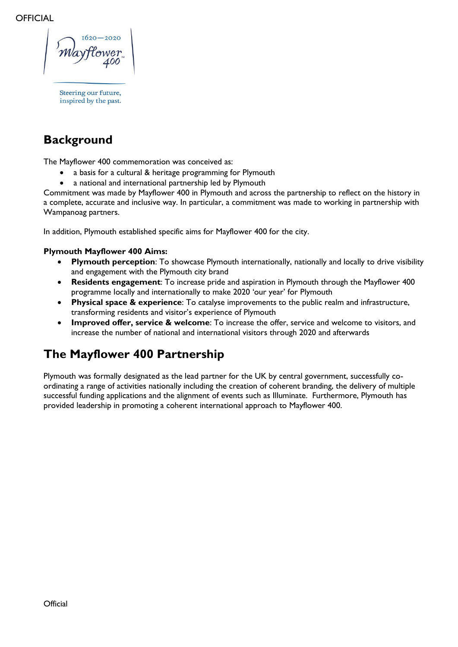Steering our future, inspired by the past.

## **Background**

The Mayflower 400 commemoration was conceived as:

- a basis for a cultural & heritage programming for Plymouth
- a national and international partnership led by Plymouth

Commitment was made by Mayflower 400 in Plymouth and across the partnership to reflect on the history in a complete, accurate and inclusive way. In particular, a commitment was made to working in partnership with Wampanoag partners.

In addition, Plymouth established specific aims for Mayflower 400 for the city.

#### **Plymouth Mayflower 400 Aims:**

- **Plymouth perception**: To showcase Plymouth internationally, nationally and locally to drive visibility and engagement with the Plymouth city brand
- **Residents engagement**: To increase pride and aspiration in Plymouth through the Mayflower 400 programme locally and internationally to make 2020 'our year' for Plymouth
- **Physical space & experience**: To catalyse improvements to the public realm and infrastructure, transforming residents and visitor's experience of Plymouth
- **Improved offer, service & welcome**: To increase the offer, service and welcome to visitors, and increase the number of national and international visitors through 2020 and afterwards

## **The Mayflower 400 Partnership**

Plymouth was formally designated as the lead partner for the UK by central government, successfully coordinating a range of activities nationally including the creation of coherent branding, the delivery of multiple successful funding applications and the alignment of events such as Illuminate. Furthermore, Plymouth has provided leadership in promoting a coherent international approach to Mayflower 400.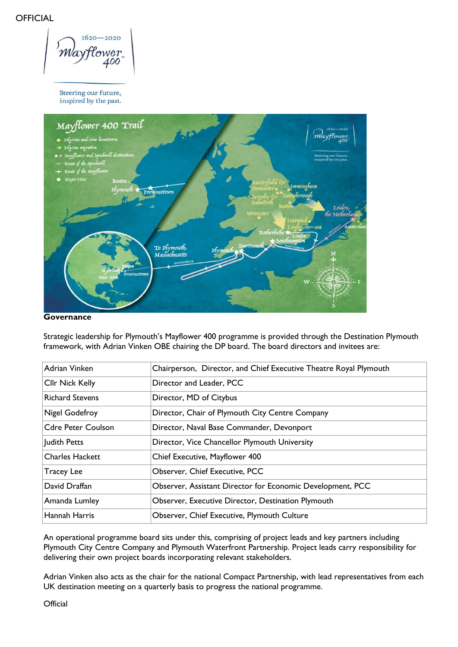$1620 - 2020$ tower .00

Steering our future, inspired by the past.



**Governance**

Strategic leadership for Plymouth's Mayflower 400 programme is provided through the Destination Plymouth framework, with Adrian Vinken OBE chairing the DP board. The board directors and invitees are:

| Adrian Vinken             | Chairperson, Director, and Chief Executive Theatre Royal Plymouth |
|---------------------------|-------------------------------------------------------------------|
| <b>Cllr Nick Kelly</b>    | Director and Leader, PCC                                          |
| <b>Richard Stevens</b>    | Director, MD of Citybus                                           |
| Nigel Godefroy            | Director, Chair of Plymouth City Centre Company                   |
| <b>Cdre Peter Coulson</b> | Director, Naval Base Commander, Devonport                         |
| Judith Petts              | Director, Vice Chancellor Plymouth University                     |
| <b>Charles Hackett</b>    | Chief Executive, Mayflower 400                                    |
| <b>Tracey Lee</b>         | Observer, Chief Executive, PCC                                    |
| David Draffan             | Observer, Assistant Director for Economic Development, PCC        |
| Amanda Lumley             | Observer, Executive Director, Destination Plymouth                |
| Hannah Harris             | Observer, Chief Executive, Plymouth Culture                       |

An operational programme board sits under this, comprising of project leads and key partners including Plymouth City Centre Company and Plymouth Waterfront Partnership. Project leads carry responsibility for delivering their own project boards incorporating relevant stakeholders.

Adrian Vinken also acts as the chair for the national Compact Partnership, with lead representatives from each UK destination meeting on a quarterly basis to progress the national programme.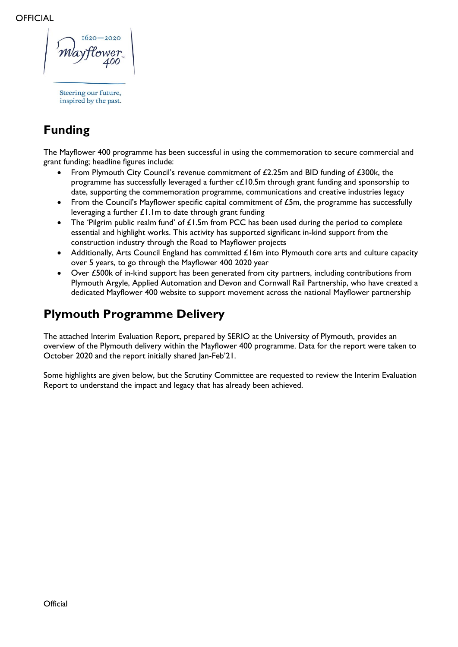Steering our future, inspired by the past.

# **Funding**

The Mayflower 400 programme has been successful in using the commemoration to secure commercial and grant funding; headline figures include:

- From Plymouth City Council's revenue commitment of £2.25m and BID funding of £300k, the programme has successfully leveraged a further c£10.5m through grant funding and sponsorship to date, supporting the commemoration programme, communications and creative industries legacy
- From the Council's Mayflower specific capital commitment of £5m, the programme has successfully leveraging a further  $£1.1m$  to date through grant funding
- The 'Pilgrim public realm fund' of  $£1.5m$  from PCC has been used during the period to complete essential and highlight works. This activity has supported significant in-kind support from the construction industry through the Road to Mayflower projects
- Additionally, Arts Council England has committed £16m into Plymouth core arts and culture capacity over 5 years, to go through the Mayflower 400 2020 year
- Over £500k of in-kind support has been generated from city partners, including contributions from Plymouth Argyle, Applied Automation and Devon and Cornwall Rail Partnership, who have created a dedicated Mayflower 400 website to support movement across the national Mayflower partnership

## **Plymouth Programme Delivery**

The attached Interim Evaluation Report, prepared by SERIO at the University of Plymouth, provides an overview of the Plymouth delivery within the Mayflower 400 programme. Data for the report were taken to October 2020 and the report initially shared Jan-Feb'21.

Some highlights are given below, but the Scrutiny Committee are requested to review the Interim Evaluation Report to understand the impact and legacy that has already been achieved.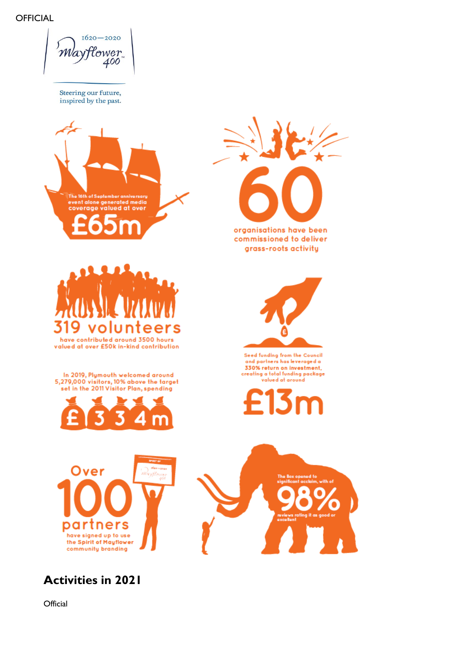$1620 - 2020$ *MayHower* 400

Steering our future, inspired by the past.



**Activities in 2021**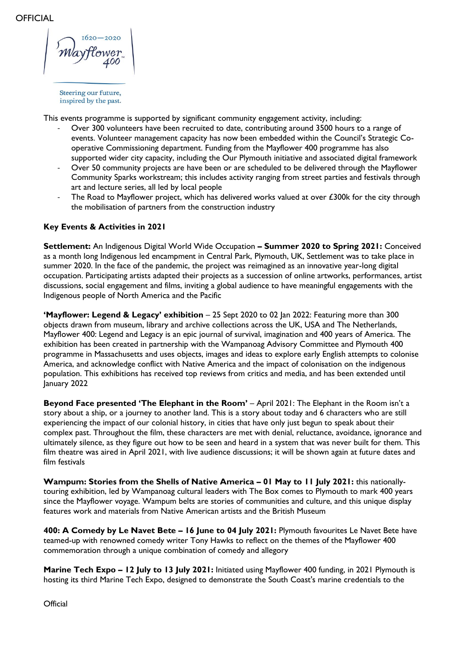This events programme is supported by significant community engagement activity, including:

- Over 300 volunteers have been recruited to date, contributing around 3500 hours to a range of events. Volunteer management capacity has now been embedded within the Council's Strategic Cooperative Commissioning department. Funding from the Mayflower 400 programme has also supported wider city capacity, including the Our Plymouth initiative and associated digital framework
- Over 50 community projects are have been or are scheduled to be delivered through the Mayflower Community Sparks workstream; this includes activity ranging from street parties and festivals through art and lecture series, all led by local people
- The Road to Mayflower project, which has delivered works valued at over £300k for the city through the mobilisation of partners from the construction industry

#### **Key Events & Activities in 2021**

**Settlement:** An Indigenous Digital World Wide Occupation **– Summer 2020 to Spring 2021:** Conceived as a month long Indigenous led encampment in Central Park, Plymouth, UK, Settlement was to take place in summer 2020. In the face of the pandemic, the project was reimagined as an innovative year-long digital occupation. Participating artists adapted their projects as a succession of online artworks, performances, artist discussions, social engagement and films, inviting a global audience to have meaningful engagements with the Indigenous people of North America and the Pacific

**'Mayflower: Legend & Legacy' exhibition** – 25 Sept 2020 to 02 Jan 2022: Featuring more than 300 objects drawn from museum, library and archive collections across the UK, USA and The Netherlands, Mayflower 400: Legend and Legacy is an epic journal of survival, imagination and 400 years of America. The exhibition has been created in partnership with the Wampanoag Advisory Committee and Plymouth 400 programme in Massachusetts and uses objects, images and ideas to explore early English attempts to colonise America, and acknowledge conflict with Native America and the impact of colonisation on the indigenous population. This exhibitions has received top reviews from critics and media, and has been extended until January 2022

**Beyond Face presented 'The Elephant in the Room'** – April 2021: The Elephant in the Room isn't a story about a ship, or a journey to another land. This is a story about today and 6 characters who are still experiencing the impact of our colonial history, in cities that have only just begun to speak about their complex past. Throughout the film, these characters are met with denial, reluctance, avoidance, ignorance and ultimately silence, as they figure out how to be seen and heard in a system that was never built for them. This film theatre was aired in April 2021, with live audience discussions; it will be shown again at future dates and film festivals

**Wampum: Stories from the Shells of Native America – 01 May to 11 July 2021: this nationally**touring exhibition, led by Wampanoag cultural leaders with The Box comes to Plymouth to mark 400 years since the Mayflower voyage. Wampum belts are stories of communities and culture, and this unique display features work and materials from Native American artists and the British Museum

**400: A Comedy by Le Navet Bete – 16 June to 04 July 2021:** Plymouth favourites Le Navet Bete have teamed-up with renowned comedy writer Tony Hawks to reflect on the themes of the Mayflower 400 commemoration through a unique combination of comedy and allegory

**Marine Tech Expo – 12 July to 13 July 2021:** Initiated using Mayflower 400 funding, in 2021 Plymouth is hosting its third Marine Tech Expo, designed to demonstrate the South Coast's marine credentials to the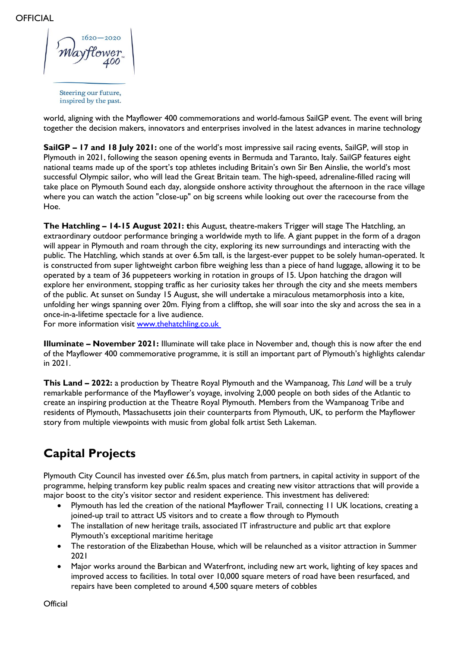world, aligning with the Mayflower 400 commemorations and world-famous SailGP event. The event will bring together the decision makers, innovators and enterprises involved in the latest advances in marine technology

**SailGP – 17 and 18 July 2021:** one of the world's most impressive sail racing events, SailGP, will stop in Plymouth in 2021, following the season opening events in Bermuda and Taranto, Italy. SailGP features eight national teams made up of the sport's top athletes including Britain's own Sir Ben Ainslie, the world's most successful Olympic sailor, who will lead the Great Britain team. The high-speed, adrenaline-filled racing will take place on Plymouth Sound each day, alongside onshore activity throughout the afternoon in the race village where you can watch the action "close-up" on big screens while looking out over the racecourse from the Hoe.

**The Hatchling – 14-15 August 2021: t**his August, theatre-makers Trigger will stage The Hatchling, an extraordinary outdoor performance bringing a worldwide myth to life. A giant puppet in the form of a dragon will appear in Plymouth and roam through the city, exploring its new surroundings and interacting with the public. The Hatchling, which stands at over 6.5m tall, is the largest-ever puppet to be solely human-operated. It is constructed from super lightweight carbon fibre weighing less than a piece of hand luggage, allowing it to be operated by a team of 36 puppeteers working in rotation in groups of 15. Upon hatching the dragon will explore her environment, stopping traffic as her curiosity takes her through the city and she meets members of the public. At sunset on Sunday 15 August, she will undertake a miraculous metamorphosis into a kite, unfolding her wings spanning over 20m. Flying from a clifftop, she will soar into the sky and across the sea in a once-in-a-lifetime spectacle for a live audience.

For more information visit [www.thehatchling.co.uk](https://www.thehatchling.co.uk/) 

**Illuminate – November 2021:** Illuminate will take place in November and, though this is now after the end of the Mayflower 400 commemorative programme, it is still an important part of Plymouth's highlights calendar in 2021.

**This Land – 2022:** a production by Theatre Royal Plymouth and the Wampanoag, *This Land* will be a truly remarkable performance of the Mayflower's voyage, involving 2,000 people on both sides of the Atlantic to create an inspiring production at the Theatre Royal Plymouth. Members from the Wampanoag Tribe and residents of Plymouth, Massachusetts join their counterparts from Plymouth, UK, to perform the Mayflower story from multiple viewpoints with music from global folk artist Seth Lakeman.

## **Capital Projects**

Plymouth City Council has invested over £6.5m, plus match from partners, in capital activity in support of the programme, helping transform key public realm spaces and creating new visitor attractions that will provide a major boost to the city's visitor sector and resident experience. This investment has delivered:

- Plymouth has led the creation of the national Mayflower Trail, connecting 11 UK locations, creating a joined-up trail to attract US visitors and to create a flow through to Plymouth
- The installation of new heritage trails, associated IT infrastructure and public art that explore Plymouth's exceptional maritime heritage
- The restoration of the Elizabethan House, which will be relaunched as a visitor attraction in Summer 2021
- Major works around the Barbican and Waterfront, including new art work, lighting of key spaces and improved access to facilities. In total over 10,000 square meters of road have been resurfaced, and repairs have been completed to around 4,500 square meters of cobbles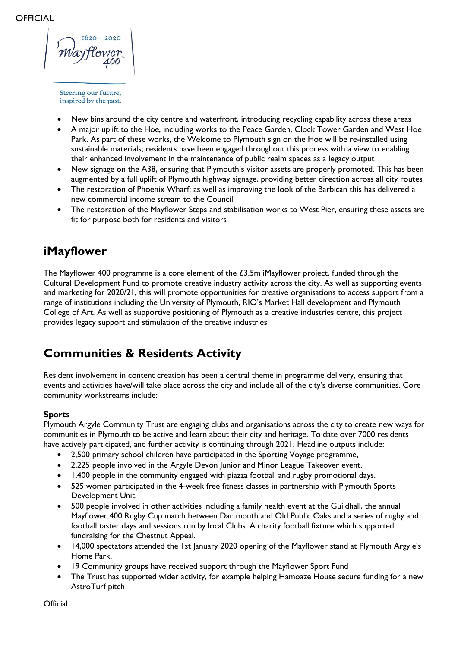$-2020$ 

- New bins around the city centre and waterfront, introducing recycling capability across these areas
- A major uplift to the Hoe, including works to the Peace Garden, Clock Tower Garden and West Hoe Park. As part of these works, the Welcome to Plymouth sign on the Hoe will be re-installed using sustainable materials; residents have been engaged throughout this process with a view to enabling their enhanced involvement in the maintenance of public realm spaces as a legacy output
- New signage on the A38, ensuring that Plymouth's visitor assets are properly promoted. This has been augmented by a full uplift of Plymouth highway signage, providing better direction across all city routes
- The restoration of Phoenix Wharf; as well as improving the look of the Barbican this has delivered a new commercial income stream to the Council
- The restoration of the Mayflower Steps and stabilisation works to West Pier, ensuring these assets are fit for purpose both for residents and visitors

### **iMayflower**

The Mayflower 400 programme is a core element of the £3.5m iMayflower project, funded through the Cultural Development Fund to promote creative industry activity across the city. As well as supporting events and marketing for 2020/21, this will promote opportunities for creative organisations to access support from a range of institutions including the University of Plymouth, RIO's Market Hall development and Plymouth College of Art. As well as supportive positioning of Plymouth as a creative industries centre, this project provides legacy support and stimulation of the creative industries

## **Communities & Residents Activity**

Resident involvement in content creation has been a central theme in programme delivery, ensuring that events and activities have/will take place across the city and include all of the city's diverse communities. Core community workstreams include:

#### **Sports**

Plymouth Argyle Community Trust are engaging clubs and organisations across the city to create new ways for communities in Plymouth to be active and learn about their city and heritage. To date over 7000 residents have actively participated, and further activity is continuing through 2021. Headline outputs include:

- 2,500 primary school children have participated in the Sporting Voyage programme,
- 2,225 people involved in the Argyle Devon Junior and Minor League Takeover event.
- 1,400 people in the community engaged with piazza football and rugby promotional days.
- 525 women participated in the 4-week free fitness classes in partnership with Plymouth Sports Development Unit.
- 500 people involved in other activities including a family health event at the Guildhall, the annual Mayflower 400 Rugby Cup match between Dartmouth and Old Public Oaks and a series of rugby and football taster days and sessions run by local Clubs. A charity football fixture which supported fundraising for the Chestnut Appeal.
- 14,000 spectators attended the 1st January 2020 opening of the Mayflower stand at Plymouth Argyle's Home Park.
- 19 Community groups have received support through the Mayflower Sport Fund
- The Trust has supported wider activity, for example helping Hamoaze House secure funding for a new AstroTurf pitch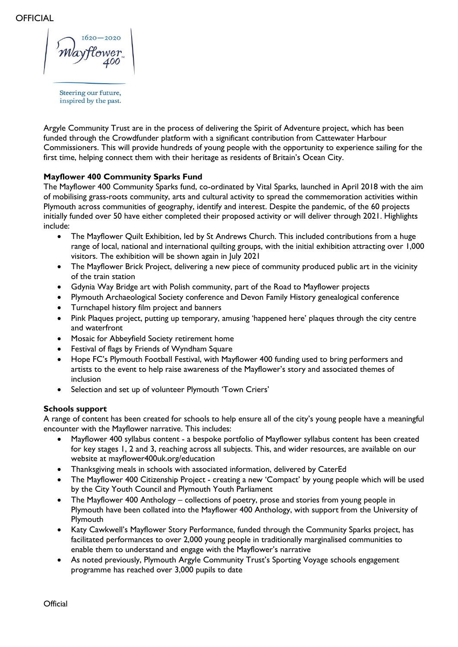Steering our future, inspired by the past.

Argyle Community Trust are in the process of delivering the Spirit of Adventure project, which has been funded through the Crowdfunder platform with a significant contribution from Cattewater Harbour Commissioners. This will provide hundreds of young people with the opportunity to experience sailing for the first time, helping connect them with their heritage as residents of Britain's Ocean City.

#### **Mayflower 400 Community Sparks Fund**

The Mayflower 400 Community Sparks fund, co-ordinated by Vital Sparks, launched in April 2018 with the aim of mobilising grass-roots community, arts and cultural activity to spread the commemoration activities within Plymouth across communities of geography, identify and interest. Despite the pandemic, of the 60 projects initially funded over 50 have either completed their proposed activity or will deliver through 2021. Highlights include:

- The Mayflower Quilt Exhibition, led by St Andrews Church. This included contributions from a huge range of local, national and international quilting groups, with the initial exhibition attracting over 1,000 visitors. The exhibition will be shown again in July 2021
- The Mayflower Brick Project, delivering a new piece of community produced public art in the vicinity of the train station
- Gdynia Way Bridge art with Polish community, part of the Road to Mayflower projects
- Plymouth Archaeological Society conference and Devon Family History genealogical conference
- Turnchapel history film project and banners
- Pink Plaques project, putting up temporary, amusing 'happened here' plaques through the city centre and waterfront
- Mosaic for Abbeyfield Society retirement home
- Festival of flags by Friends of Wyndham Square
- Hope FC's Plymouth Football Festival, with Mayflower 400 funding used to bring performers and artists to the event to help raise awareness of the Mayflower's story and associated themes of inclusion
- Selection and set up of volunteer Plymouth 'Town Criers'

#### **Schools support**

A range of content has been created for schools to help ensure all of the city's young people have a meaningful encounter with the Mayflower narrative. This includes:

- Mayflower 400 syllabus content a bespoke portfolio of Mayflower syllabus content has been created for key stages 1, 2 and 3, reaching across all subjects. This, and wider resources, are available on our website at mayflower400uk.org/education
- Thanksgiving meals in schools with associated information, delivered by CaterEd
- The Mayflower 400 Citizenship Project creating a new 'Compact' by young people which will be used by the City Youth Council and Plymouth Youth Parliament
- The Mayflower 400 Anthology collections of poetry, prose and stories from young people in Plymouth have been collated into the Mayflower 400 Anthology, with support from the University of **Plymouth**
- Katy Cawkwell's Mayflower Story Performance, funded through the Community Sparks project, has facilitated performances to over 2,000 young people in traditionally marginalised communities to enable them to understand and engage with the Mayflower's narrative
- As noted previously, Plymouth Argyle Community Trust's Sporting Voyage schools engagement programme has reached over 3,000 pupils to date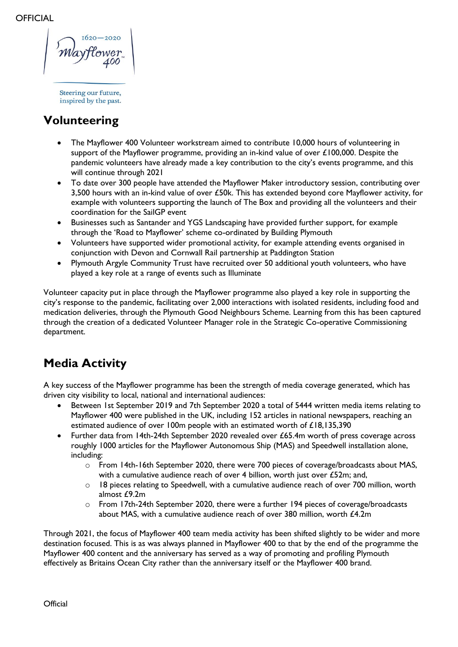# **Volunteering**

- The Mayflower 400 Volunteer workstream aimed to contribute 10,000 hours of volunteering in support of the Mayflower programme, providing an in-kind value of over £100,000. Despite the pandemic volunteers have already made a key contribution to the city's events programme, and this will continue through 2021
- To date over 300 people have attended the Mayflower Maker introductory session, contributing over 3,500 hours with an in-kind value of over £50k. This has extended beyond core Mayflower activity, for example with volunteers supporting the launch of The Box and providing all the volunteers and their coordination for the SailGP event
- Businesses such as Santander and YGS Landscaping have provided further support, for example through the 'Road to Mayflower' scheme co-ordinated by Building Plymouth
- Volunteers have supported wider promotional activity, for example attending events organised in conjunction with Devon and Cornwall Rail partnership at Paddington Station
- Plymouth Argyle Community Trust have recruited over 50 additional youth volunteers, who have played a key role at a range of events such as Illuminate

Volunteer capacity put in place through the Mayflower programme also played a key role in supporting the city's response to the pandemic, facilitating over 2,000 interactions with isolated residents, including food and medication deliveries, through the Plymouth Good Neighbours Scheme. Learning from this has been captured through the creation of a dedicated Volunteer Manager role in the Strategic Co-operative Commissioning department.

## **Media Activity**

A key success of the Mayflower programme has been the strength of media coverage generated, which has driven city visibility to local, national and international audiences:

- Between 1st September 2019 and 7th September 2020 a total of 5444 written media items relating to Mayflower 400 were published in the UK, including 152 articles in national newspapers, reaching an estimated audience of over 100m people with an estimated worth of £18,135,390
- Further data from 14th-24th September 2020 revealed over £65.4m worth of press coverage across roughly 1000 articles for the Mayflower Autonomous Ship (MAS) and Speedwell installation alone, including:
	- o From 14th-16th September 2020, there were 700 pieces of coverage/broadcasts about MAS, with a cumulative audience reach of over 4 billion, worth just over £52m; and,
	- $\circ$  18 pieces relating to Speedwell, with a cumulative audience reach of over 700 million, worth almost £9.2m
	- $\circ$  From 17th-24th September 2020, there were a further 194 pieces of coverage/broadcasts about MAS, with a cumulative audience reach of over 380 million, worth £4.2m

Through 2021, the focus of Mayflower 400 team media activity has been shifted slightly to be wider and more destination focused. This is as was always planned in Mayflower 400 to that by the end of the programme the Mayflower 400 content and the anniversary has served as a way of promoting and profiling Plymouth effectively as Britains Ocean City rather than the anniversary itself or the Mayflower 400 brand.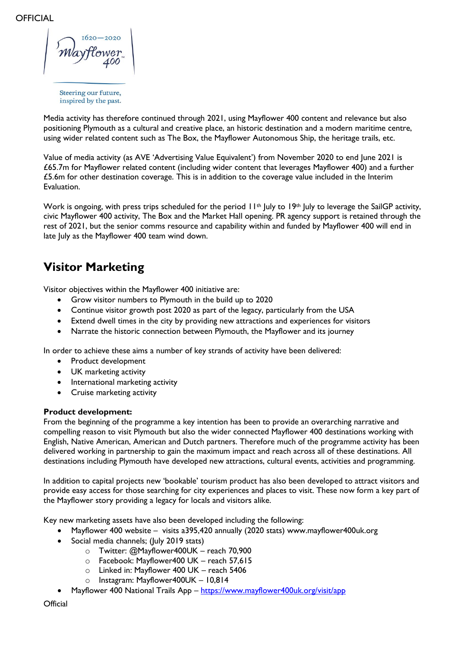Media activity has therefore continued through 2021, using Mayflower 400 content and relevance but also positioning Plymouth as a cultural and creative place, an historic destination and a modern maritime centre, using wider related content such as The Box, the Mayflower Autonomous Ship, the heritage trails, etc.

Value of media activity (as AVE 'Advertising Value Equivalent') from November 2020 to end June 2021 is £65.7m for Mayflower related content (including wider content that leverages Mayflower 400) and a further £5.6m for other destination coverage. This is in addition to the coverage value included in the Interim Evaluation.

Work is ongoing, with press trips scheduled for the period 11<sup>th</sup> July to 19<sup>th</sup> July to leverage the SailGP activity, civic Mayflower 400 activity, The Box and the Market Hall opening. PR agency support is retained through the rest of 2021, but the senior comms resource and capability within and funded by Mayflower 400 will end in late July as the Mayflower 400 team wind down.

## **Visitor Marketing**

Visitor objectives within the Mayflower 400 initiative are:

- Grow visitor numbers to Plymouth in the build up to 2020
- Continue visitor growth post 2020 as part of the legacy, particularly from the USA
- Extend dwell times in the city by providing new attractions and experiences for visitors
- Narrate the historic connection between Plymouth, the Mayflower and its journey

In order to achieve these aims a number of key strands of activity have been delivered:

- Product development
- UK marketing activity
- International marketing activity
- Cruise marketing activity

#### **Product development:**

From the beginning of the programme a key intention has been to provide an overarching narrative and compelling reason to visit Plymouth but also the wider connected Mayflower 400 destinations working with English, Native American, American and Dutch partners. Therefore much of the programme activity has been delivered working in partnership to gain the maximum impact and reach across all of these destinations. All destinations including Plymouth have developed new attractions, cultural events, activities and programming.

In addition to capital projects new 'bookable' tourism product has also been developed to attract visitors and provide easy access for those searching for city experiences and places to visit. These now form a key part of the Mayflower story providing a legacy for locals and visitors alike.

Key new marketing assets have also been developed including the following:

- Mayflower 400 website visits a395,420 annually (2020 stats) [www.mayflower400uk.org](http://www.mayflower400uk.org/)
- Social media channels; (July 2019 stats)
	- o Twitter: @Mayflower400UK reach 70,900
	- o Facebook: Mayflower400 UK reach 57,615
	- o Linked in: Mayflower 400 UK reach 5406
	- o Instagram: Mayflower400UK 10,814
	- Mayflower 400 National Trails App <https://www.mayflower400uk.org/visit/app>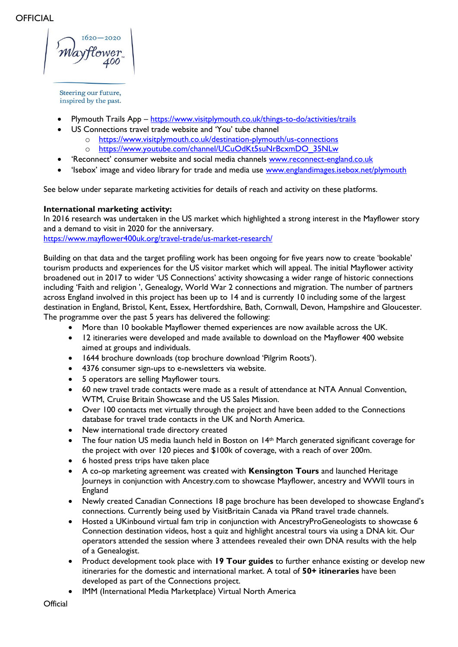- Plymouth Trails App <https://www.visitplymouth.co.uk/things-to-do/activities/trails>
- US Connections travel trade website and 'You' tube channel
	- o <https://www.visitplymouth.co.uk/destination-plymouth/us-connections>
	- o [https://www.youtube.com/channel/UCuOdKt5suNrBcxmDO\\_35NLw](https://www.youtube.com/channel/UCuOdKt5suNrBcxmDO_35NLw)
- 'Reconnect' consumer website and social media channels [www.reconnect-england.co.uk](http://www.reconnect-england.co.uk/)
- 'Isebox' image and video library for trade and media use [www.englandimages.isebox.net/plymouth](http://www.englandimages.isebox.net/plymouth)

See below under separate marketing activities for details of reach and activity on these platforms.

#### **International marketing activity:**

In 2016 research was undertaken in the US market which highlighted a strong interest in the Mayflower story and a demand to visit in 2020 for the anniversary.

<https://www.mayflower400uk.org/travel-trade/us-market-research/>

Building on that data and the target profiling work has been ongoing for five years now to create 'bookable' tourism products and experiences for the US visitor market which will appeal. The initial Mayflower activity broadened out in 2017 to wider 'US Connections' activity showcasing a wider range of historic connections including 'Faith and religion ', Genealogy, World War 2 connections and migration. The number of partners across England involved in this project has been up to 14 and is currently 10 including some of the largest destination in England, Bristol, Kent, Essex, Hertfordshire, Bath, Cornwall, Devon, Hampshire and Gloucester. The programme over the past 5 years has delivered the following:

- More than 10 bookable Mayflower themed experiences are now available across the UK.
- 12 itineraries were developed and made available to download on the Mayflower 400 website aimed at groups and individuals.
- 1644 brochure downloads (top brochure download 'Pilgrim Roots').
- 4376 consumer sign-ups to e-newsletters via website.
- 5 operators are selling Mayflower tours.
- 60 new travel trade contacts were made as a result of attendance at NTA Annual Convention, WTM, Cruise Britain Showcase and the US Sales Mission.
- Over 100 contacts met virtually through the project and have been added to the Connections database for travel trade contacts in the UK and North America.
- New international trade directory created
- The four nation US media launch held in Boston on  $14<sup>th</sup>$  March generated significant coverage for the project with over 120 pieces and \$100k of coverage, with a reach of over 200m.
- 6 hosted press trips have taken place
- A co-op marketing agreement was created with **Kensington Tours** and launched Heritage Journeys in conjunction with Ancestry.com to showcase Mayflower, ancestry and WWII tours in England
- Newly created Canadian Connections 18 page brochure has been developed to showcase England's connections. Currently being used by VisitBritain Canada via PRand travel trade channels.
- Hosted a UKinbound virtual fam trip in conjunction with AncestryProGeneologists to showcase 6 Connection destination videos, host a quiz and highlight ancestral tours via using a DNA kit. Our operators attended the session where 3 attendees revealed their own DNA results with the help of a Genealogist.
- Product development took place with **19 Tour guides** to further enhance existing or develop new itineraries for the domestic and international market. A total of **50+ itineraries** have been developed as part of the Connections project.
- IMM (International Media Marketplace) Virtual North America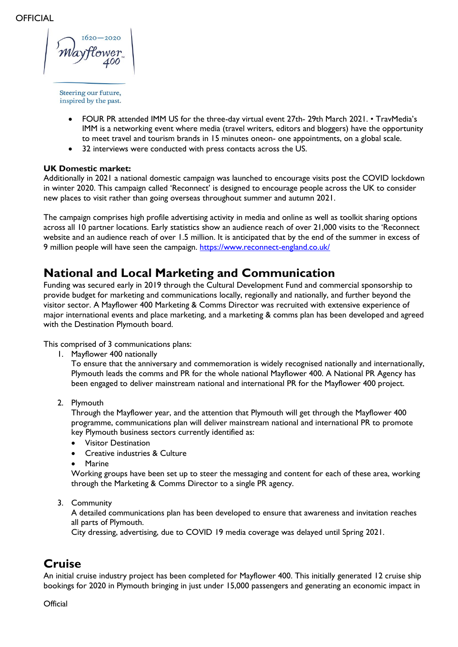- FOUR PR attended IMM US for the three-day virtual event 27th- 29th March 2021. TravMedia's IMM is a networking event where media (travel writers, editors and bloggers) have the opportunity to meet travel and tourism brands in 15 minutes oneon- one appointments, on a global scale.
- 32 interviews were conducted with press contacts across the US.

#### **UK Domestic market:**

Additionally in 2021 a national domestic campaign was launched to encourage visits post the COVID lockdown in winter 2020. This campaign called 'Reconnect' is designed to encourage people across the UK to consider new places to visit rather than going overseas throughout summer and autumn 2021.

The campaign comprises high profile advertising activity in media and online as well as toolkit sharing options across all 10 partner locations. Early statistics show an audience reach of over 21,000 visits to the 'Reconnect website and an audience reach of over 1.5 million. It is anticipated that by the end of the summer in excess of 9 million people will have seen the campaign. <https://www.reconnect-england.co.uk/>

### **National and Local Marketing and Communication**

Funding was secured early in 2019 through the Cultural Development Fund and commercial sponsorship to provide budget for marketing and communications locally, regionally and nationally, and further beyond the visitor sector. A Mayflower 400 Marketing & Comms Director was recruited with extensive experience of major international events and place marketing, and a marketing & comms plan has been developed and agreed with the Destination Plymouth board.

This comprised of 3 communications plans:

1. Mayflower 400 nationally

To ensure that the anniversary and commemoration is widely recognised nationally and internationally, Plymouth leads the comms and PR for the whole national Mayflower 400. A National PR Agency has been engaged to deliver mainstream national and international PR for the Mayflower 400 project.

2. Plymouth

Through the Mayflower year, and the attention that Plymouth will get through the Mayflower 400 programme, communications plan will deliver mainstream national and international PR to promote key Plymouth business sectors currently identified as:

- Visitor Destination
- Creative industries & Culture
- Marine

Working groups have been set up to steer the messaging and content for each of these area, working through the Marketing & Comms Director to a single PR agency.

#### 3. Community

A detailed communications plan has been developed to ensure that awareness and invitation reaches all parts of Plymouth.

City dressing, advertising, due to COVID 19 media coverage was delayed until Spring 2021.

### **Cruise**

An initial cruise industry project has been completed for Mayflower 400. This initially generated 12 cruise ship bookings for 2020 in Plymouth bringing in just under 15,000 passengers and generating an economic impact in